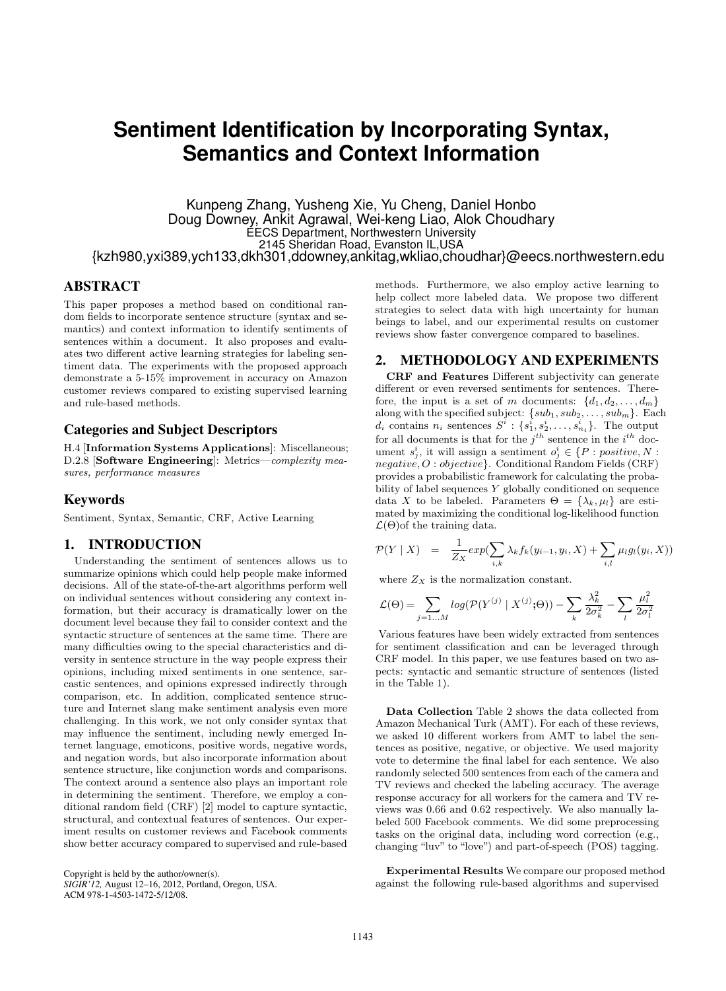# **Sentiment Identification by Incorporating Syntax, Semantics and Context Information**

Kunpeng Zhang, Yusheng Xie, Yu Cheng, Daniel Honbo Doug Downey, Ankit Agrawal, Wei-keng Liao, Alok Choudhary EECS Department, Northwestern University 2145 Sheridan Road, Evanston IL,USA {kzh980,yxi389,ych133,dkh301,ddowney,ankitag,wkliao,choudhar}@eecs.northwestern.edu

# ABSTRACT

This paper proposes a method based on conditional random fields to incorporate sentence structure (syntax and semantics) and context information to identify sentiments of sentences within a document. It also proposes and evaluates two different active learning strategies for labeling sentiment data. The experiments with the proposed approach demonstrate a 5-15% improvement in accuracy on Amazon customer reviews compared to existing supervised learning and rule-based methods.

#### Categories and Subject Descriptors

H.4 [Information Systems Applications]: Miscellaneous; D.2.8 [Software Engineering]: Metrics—complexity measures, performance measures

### Keywords

Sentiment, Syntax, Semantic, CRF, Active Learning

#### 1. INTRODUCTION

Understanding the sentiment of sentences allows us to summarize opinions which could help people make informed decisions. All of the state-of-the-art algorithms perform well on individual sentences without considering any context information, but their accuracy is dramatically lower on the document level because they fail to consider context and the syntactic structure of sentences at the same time. There are many difficulties owing to the special characteristics and diversity in sentence structure in the way people express their opinions, including mixed sentiments in one sentence, sarcastic sentences, and opinions expressed indirectly through comparison, etc. In addition, complicated sentence structure and Internet slang make sentiment analysis even more challenging. In this work, we not only consider syntax that may influence the sentiment, including newly emerged Internet language, emoticons, positive words, negative words, and negation words, but also incorporate information about sentence structure, like conjunction words and comparisons. The context around a sentence also plays an important role in determining the sentiment. Therefore, we employ a conditional random field (CRF) [2] model to capture syntactic, structural, and contextual features of sentences. Our experiment results on customer reviews and Facebook comments show better accuracy compared to supervised and rule-based

Copyright is held by the author/owner(s). *SIGIR'12,* August 12–16, 2012, Portland, Oregon, USA. ACM 978-1-4503-1472-5/12/08.

methods. Furthermore, we also employ active learning to help collect more labeled data. We propose two different strategies to select data with high uncertainty for human beings to label, and our experimental results on customer reviews show faster convergence compared to baselines.

# 2. METHODOLOGY AND EXPERIMENTS

CRF and Features Different subjectivity can generate different or even reversed sentiments for sentences. Therefore, the input is a set of m documents:  $\{d_1, d_2, \ldots, d_m\}$ along with the specified subject:  $\{sub_1, sub_2, \ldots, sub_m\}$ . Each  $d_i$  contains  $n_i$  sentences  $S^i: \{s_1^i, s_2^i, \ldots, s_{n_i}^i\}$ . The output for all documents is that for the  $j^{th}$  sentence in the  $i^{th}$  document  $s_j^i$ , it will assign a sentiment  $o_j^i \in \{P : positive, N :$  $negative, O: objective$ . Conditional Random Fields (CRF) provides a probabilistic framework for calculating the probability of label sequences Y globally conditioned on sequence data X to be labeled. Parameters  $\Theta = {\lambda_k, \mu_l}$  are estimated by maximizing the conditional log-likelihood function  $\mathcal{L}(\Theta)$  of the training data.

$$
\mathcal{P}(Y \mid X) = \frac{1}{Z_X} exp(\sum_{i,k} \lambda_k f_k(y_{i-1}, y_i, X) + \sum_{i,l} \mu_l g_l(y_i, X))
$$

where  $Z_X$  is the normalization constant.

$$
\mathcal{L}(\Theta) = \sum_{j=1...M} log(\mathcal{P}(Y^{(j)} \mid X^{(j)}; \Theta)) - \sum_{k} \frac{\lambda_k^2}{2\sigma_k^2} - \sum_{l} \frac{\mu_l^2}{2\sigma_l^2}
$$

Various features have been widely extracted from sentences for sentiment classification and can be leveraged through CRF model. In this paper, we use features based on two aspects: syntactic and semantic structure of sentences (listed in the Table 1).

Data Collection Table 2 shows the data collected from Amazon Mechanical Turk (AMT). For each of these reviews, we asked 10 different workers from AMT to label the sentences as positive, negative, or objective. We used majority vote to determine the final label for each sentence. We also randomly selected 500 sentences from each of the camera and TV reviews and checked the labeling accuracy. The average response accuracy for all workers for the camera and TV reviews was 0.66 and 0.62 respectively. We also manually labeled 500 Facebook comments. We did some preprocessing tasks on the original data, including word correction (e.g., changing "luv" to "love") and part-of-speech (POS) tagging.

Experimental Results We compare our proposed method against the following rule-based algorithms and supervised